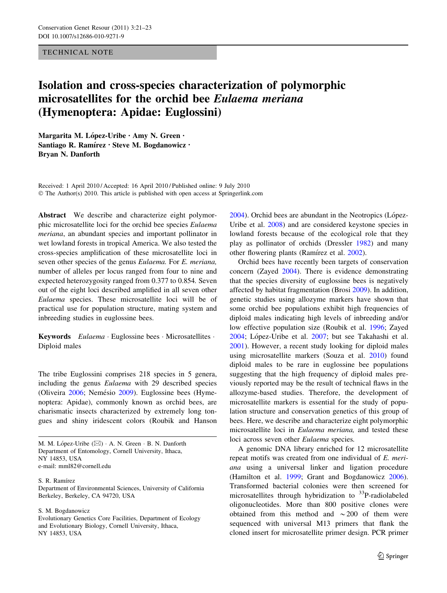## TECHNICAL NOTE

## Isolation and cross-species characterization of polymorphic microsatellites for the orchid bee Eulaema meriana (Hymenoptera: Apidae: Euglossini)

Margarita M. López-Uribe  $\cdot$  Amy N. Green  $\cdot$ Santiago R. Ramírez · Steve M. Bogdanowicz · Bryan N. Danforth

Received: 1 April 2010 / Accepted: 16 April 2010 / Published online: 9 July 2010 © The Author(s) 2010. This article is published with open access at Springerlink.com

Abstract We describe and characterize eight polymorphic microsatellite loci for the orchid bee species Eulaema meriana, an abundant species and important pollinator in wet lowland forests in tropical America. We also tested the cross-species amplification of these microsatellite loci in seven other species of the genus Eulaema. For E. meriana, number of alleles per locus ranged from four to nine and expected heterozygosity ranged from 0.377 to 0.854. Seven out of the eight loci described amplified in all seven other Eulaema species. These microsatellite loci will be of practical use for population structure, mating system and inbreeding studies in euglossine bees.

Keywords Eulaema · Euglossine bees · Microsatellites · Diploid males

The tribe Euglossini comprises 218 species in 5 genera, including the genus Eulaema with 29 described species (Oliveira [2006](#page-2-0); Nemésio [2009](#page-2-0)). Euglossine bees (Hymenoptera: Apidae), commonly known as orchid bees, are charismatic insects characterized by extremely long tongues and shiny iridescent colors (Roubik and Hanson

M. M. López-Uribe  $(\boxtimes) \cdot A$ . N. Green  $\cdot B$ . N. Danforth Department of Entomology, Cornell University, Ithaca, NY 14853, USA e-mail: mml82@cornell.edu

S. R. Ramírez

Department of Environmental Sciences, University of California Berkeley, Berkeley, CA 94720, USA

S. M. Bogdanowicz

Evolutionary Genetics Core Facilities, Department of Ecology and Evolutionary Biology, Cornell University, Ithaca, NY 14853, USA

[2004](#page-2-0)). Orchid bees are abundant in the Neotropics (López-Uribe et al. [2008\)](#page-2-0) and are considered keystone species in lowland forests because of the ecological role that they play as pollinator of orchids (Dressler [1982](#page-2-0)) and many other flowering plants (Ramírez et al. [2002](#page-2-0)).

Orchid bees have recently been targets of conservation concern (Zayed [2004\)](#page-2-0). There is evidence demonstrating that the species diversity of euglossine bees is negatively affected by habitat fragmentation (Brosi [2009\)](#page-2-0). In addition, genetic studies using allozyme markers have shown that some orchid bee populations exhibit high frequencies of diploid males indicating high levels of inbreeding and/or low effective population size (Roubik et al. [1996](#page-2-0); Zayed [2004](#page-2-0); López-Uribe et al. [2007](#page-2-0); but see Takahashi et al. [2001](#page-2-0)). However, a recent study looking for diploid males using microsatellite markers (Souza et al. [2010](#page-2-0)) found diploid males to be rare in euglossine bee populations suggesting that the high frequency of diploid males previously reported may be the result of technical flaws in the allozyme-based studies. Therefore, the development of microsatellite markers is essential for the study of population structure and conservation genetics of this group of bees. Here, we describe and characterize eight polymorphic microsatellite loci in Eulaema meriana, and tested these loci across seven other Eulaema species.

A genomic DNA library enriched for 12 microsatellite repeat motifs was created from one individual of E. meriana using a universal linker and ligation procedure (Hamilton et al. [1999](#page-2-0); Grant and Bogdanowicz [2006](#page-2-0)). Transformed bacterial colonies were then screened for microsatellites through hybridization to  $33P$ -radiolabeled oligonucleotides. More than 800 positive clones were obtained from this method and  $\sim$  200 of them were sequenced with universal M13 primers that flank the cloned insert for microsatellite primer design. PCR primer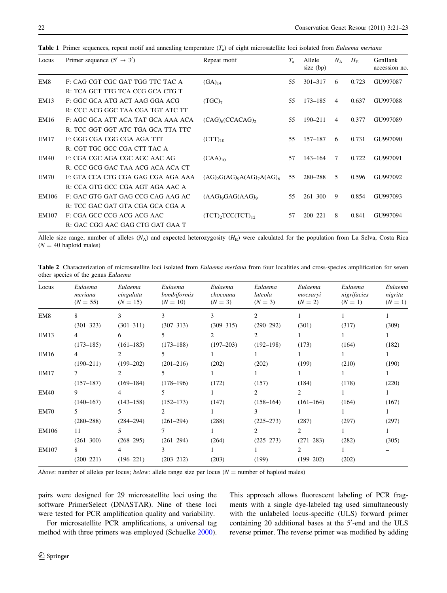| Locus           | Primer sequence $(5' \rightarrow 3')$ | Repeat motif                          | $T_{\rm a}$ | Allele<br>size (bp) | $N_{\rm A}$ | $H_{\rm E}$ | GenBank<br>accession no. |
|-----------------|---------------------------------------|---------------------------------------|-------------|---------------------|-------------|-------------|--------------------------|
| EM <sub>8</sub> | F: CAG CGT CGC GAT TGG TTC TAC A      | $(GA)_{14}$                           | 55          | $301 - 317$         | 6           | 0.723       | GU997087                 |
|                 | R: TCA GCT TTG TCA CCG GCA CTG T      |                                       |             |                     |             |             |                          |
| EM13            | F. GGC GCA ATG ACT AAG GGA ACG        | (TGC) <sub>7</sub>                    | 55          | $173 - 185$         | 4           | 0.637       | GU997088                 |
|                 | R: CCC ACG GGC TAA CGA TGT ATC TT     |                                       |             |                     |             |             |                          |
| EM16            | F. AGC GCA ATT ACA TAT GCA AAA ACA    | $(CAG)_{6}(CCACAG)_{2}$               | 55          | $190 - 211$         | 4           | 0.377       | GU997089                 |
|                 | R: TCC GGT GGT ATC TGA GCA TTA TTC    |                                       |             |                     |             |             |                          |
| EM17            | F: GGG CGA CGG CGA AGA TTT            | $(CTT)_{10}$                          | 55          | 157-187             | 6           | 0.731       | GU997090                 |
|                 | R: CGT TGC GCC CGA CTT TAC A          |                                       |             |                     |             |             |                          |
| EM40            | F: CGA CGC AGA CGC AGC AAC AG         | $(CAA)_{10}$                          | 57          | $143 - 164$         | 7           | 0.722       | GU997091                 |
|                 | R: CCC GCG GAC TAA ACG ACA ACA CT     |                                       |             |                     |             |             |                          |
| EM70            | F: GTA CCA CTG CGA GAG CGA AGA AAA    | $(AG)_{2}G(AG)_{9}A(AG)_{7}A(AG)_{6}$ | 55          | 280-288             | 5           | 0.596       | GU997092                 |
|                 | R: CCA GTG GCC CGA AGT AGA AAC A      |                                       |             |                     |             |             |                          |
| EM106           | F: GAC GTG GAT GAG CCG CAG AAG AC     | $(AAG)_{9}GAG(AAG)_{9}$               | 55          | $261 - 300$         | 9           | 0.854       | GU997093                 |
|                 | R: TCC GAC GAT GTA CGA GCA CGA A      |                                       |             |                     |             |             |                          |
| EM107           | F: CGA GCC CCG ACG ACG AAC            | $(TCT)$ , $TCC(TCT)$ <sub>12</sub>    | 57          | $200 - 221$         | 8           | 0.841       | GU997094                 |
|                 | R: GAC CGG AAC GAG CTG GAT GAA T      |                                       |             |                     |             |             |                          |

<span id="page-1-0"></span>**Table 1** Primer sequences, repeat motif and annealing temperature  $(T_a)$  of eight microsatellite loci isolated from *Eulaema meriana* 

Allele size range, number of alleles ( $N_A$ ) and expected heterozygosity ( $H<sub>E</sub>$ ) were calculated for the population from La Selva, Costa Rica  $(N = 40$  haploid males)

Table 2 Characterization of microsatellite loci isolated from Eulaema meriana from four localities and cross-species amplification for seven other species of the genus Eulaema

| Locus       | Eulaema<br>meriana<br>$(N = 55)$ | Eulaema<br>cingulata<br>$(N = 15)$ | Eulaema<br>bombiformis<br>$(N = 10)$ | Eulaema<br>chocoana<br>$(N = 3)$ | Eulaema<br>luteola<br>$(N = 3)$ | Eulaema<br>mocsaryi<br>$(N = 2)$ | Eulaema<br>nigrifacies<br>$(N = 1)$ | Eulaema<br>nigrita<br>$(N = 1)$ |
|-------------|----------------------------------|------------------------------------|--------------------------------------|----------------------------------|---------------------------------|----------------------------------|-------------------------------------|---------------------------------|
| EM8         | 8                                | 3                                  | 3                                    | 3                                | 2                               |                                  |                                     |                                 |
|             | $(301 - 323)$                    | $(301 - 311)$                      | $(307 - 313)$                        | $(309 - 315)$                    | $(290 - 292)$                   | (301)                            | (317)                               | (309)                           |
| <b>EM13</b> | 4                                | 6                                  | 5                                    | 2                                | 2                               |                                  |                                     |                                 |
|             | $(173 - 185)$                    | $(161-185)$                        | $(173 - 188)$                        | $(197 - 203)$                    | $(192 - 198)$                   | (173)                            | (164)                               | (182)                           |
| EM16        | 4                                | 2                                  | 5                                    |                                  |                                 |                                  |                                     |                                 |
|             | $(190 - 211)$                    | $(199 - 202)$                      | $(201 - 216)$                        | (202)                            | (202)                           | (199)                            | (210)                               | (190)                           |
| <b>EM17</b> |                                  | 2                                  | 5                                    |                                  |                                 |                                  |                                     |                                 |
|             | $(157 - 187)$                    | $(169 - 184)$                      | $(178 - 196)$                        | (172)                            | (157)                           | (184)                            | (178)                               | (220)                           |
| <b>EM40</b> | 9                                | 4                                  | 5                                    |                                  | 2                               | 2                                |                                     |                                 |
|             | $(140 - 167)$                    | $(143 - 158)$                      | $(152 - 173)$                        | (147)                            | $(158 - 164)$                   | $(161-164)$                      | (164)                               | (167)                           |
| EM70        | 5.                               | 5                                  | 2                                    |                                  | 3                               |                                  |                                     |                                 |
|             | $(280 - 288)$                    | $(284 - 294)$                      | $(261 - 294)$                        | (288)                            | $(225 - 273)$                   | (287)                            | (297)                               | (297)                           |
| EM106       | 11                               | 5                                  | 7                                    |                                  | 2                               | 2                                |                                     |                                 |
|             | $(261 - 300)$                    | $(268 - 295)$                      | $(261 - 294)$                        | (264)                            | $(225 - 273)$                   | $(271 - 283)$                    | (282)                               | (305)                           |
| EM107       | 8.                               | 4                                  | 3                                    |                                  |                                 | 2                                |                                     |                                 |
|             | $(200 - 221)$                    | $(196 - 221)$                      | $(203 - 212)$                        | (203)                            | (199)                           | $(199 - 202)$                    | (202)                               |                                 |

*Above*: number of alleles per locus; *below*: allele range size per locus ( $N =$  number of haploid males)

pairs were designed for 29 microsatellite loci using the software PrimerSelect (DNASTAR). Nine of these loci were tested for PCR amplification quality and variability.

For microsatellite PCR amplifications, a universal tag method with three primers was employed (Schuelke [2000](#page-2-0)).

This approach allows fluorescent labeling of PCR fragments with a single dye-labeled tag used simultaneously with the unlabeled locus-specific (ULS) forward primer containing  $20$  additional bases at the  $5'$ -end and the ULS reverse primer. The reverse primer was modified by adding